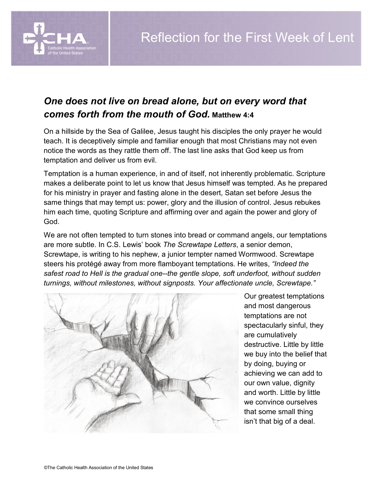## *One does not live on bread alone, but on every word that comes forth from the mouth of God.* **Matthew 4:4**

On a hillside by the Sea of Galilee, Jesus taught his disciples the only prayer he would teach. It is deceptively simple and familiar enough that most Christians may not even notice the words as they rattle them off. The last line asks that God keep us from temptation and deliver us from evil.

Temptation is a human experience, in and of itself, not inherently problematic. Scripture makes a deliberate point to let us know that Jesus himself was tempted. As he prepared for his ministry in prayer and fasting alone in the desert, Satan set before Jesus the same things that may tempt us: power, glory and the illusion of control. Jesus rebukes him each time, quoting Scripture and affirming over and again the power and glory of God.

We are not often tempted to turn stones into bread or command angels, our temptations are more subtle. In C.S. Lewis' book *The Screwtape Letters*, a senior demon, Screwtape, is writing to his nephew, a junior tempter named Wormwood. Screwtape steers his protégé away from more flamboyant temptations. He writes, *"Indeed the safest road to Hell is the gradual one--the gentle slope, soft underfoot, without sudden turnings, without milestones, without signposts. Your affectionate uncle, Screwtape."*



Our greatest temptations and most dangerous temptations are not spectacularly sinful, they are cumulatively destructive. Little by little we buy into the belief that by doing, buying or achieving we can add to our own value, dignity and worth. Little by little we convince ourselves that some small thing isn't that big of a deal.